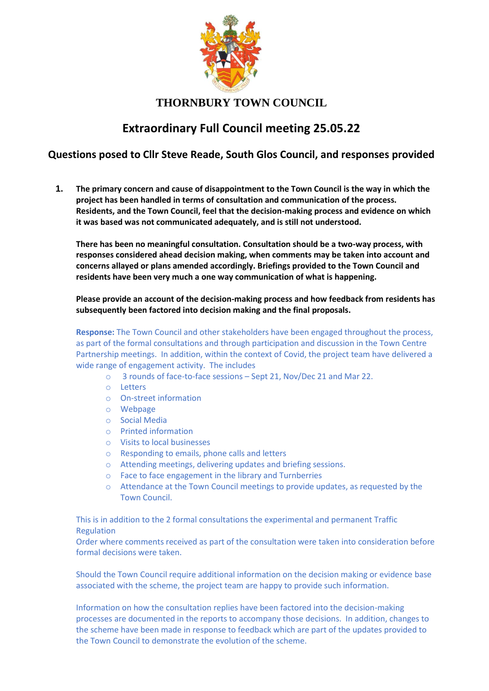

## **THORNBURY TOWN COUNCIL**

# **Extraordinary Full Council meeting 25.05.22**

## **Questions posed to Cllr Steve Reade, South Glos Council, and responses provided**

**1. The primary concern and cause of disappointment to the Town Council is the way in which the project has been handled in terms of consultation and communication of the process. Residents, and the Town Council, feel that the decision-making process and evidence on which it was based was not communicated adequately, and is still not understood.**

**There has been no meaningful consultation. Consultation should be a two-way process, with responses considered ahead decision making, when comments may be taken into account and concerns allayed or plans amended accordingly. Briefings provided to the Town Council and residents have been very much a one way communication of what is happening.**

**Please provide an account of the decision-making process and how feedback from residents has subsequently been factored into decision making and the final proposals.**

**Response:** The Town Council and other stakeholders have been engaged throughout the process, as part of the formal consultations and through participation and discussion in the Town Centre Partnership meetings. In addition, within the context of Covid, the project team have delivered a wide range of engagement activity. The includes

- o 3 rounds of face-to-face sessions Sept 21, Nov/Dec 21 and Mar 22.
- o Letters
- o On-street information
- o Webpage
- o Social Media
- o Printed information
- o Visits to local businesses
- o Responding to emails, phone calls and letters
- o Attending meetings, delivering updates and briefing sessions.
- o Face to face engagement in the library and Turnberries
- o Attendance at the Town Council meetings to provide updates, as requested by the Town Council.

This is in addition to the 2 formal consultations the experimental and permanent Traffic Regulation

Order where comments received as part of the consultation were taken into consideration before formal decisions were taken.

Should the Town Council require additional information on the decision making or evidence base associated with the scheme, the project team are happy to provide such information.

Information on how the consultation replies have been factored into the decision-making processes are documented in the reports to accompany those decisions. In addition, changes to the scheme have been made in response to feedback which are part of the updates provided to the Town Council to demonstrate the evolution of the scheme.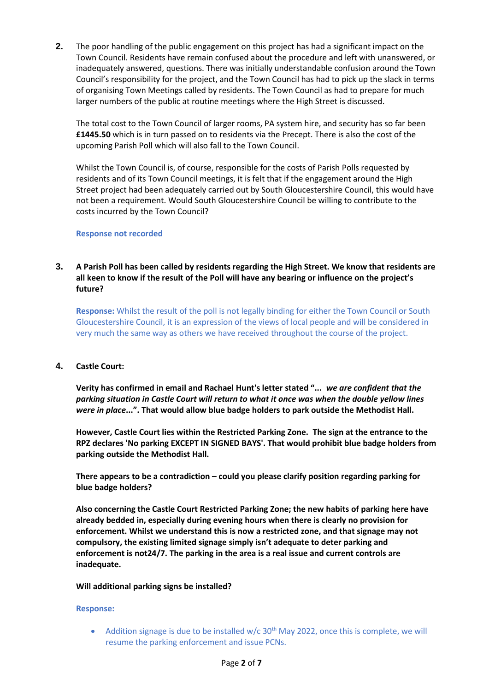**2.** The poor handling of the public engagement on this project has had a significant impact on the Town Council. Residents have remain confused about the procedure and left with unanswered, or inadequately answered, questions. There was initially understandable confusion around the Town Council's responsibility for the project, and the Town Council has had to pick up the slack in terms of organising Town Meetings called by residents. The Town Council as had to prepare for much larger numbers of the public at routine meetings where the High Street is discussed.

The total cost to the Town Council of larger rooms, PA system hire, and security has so far been **£1445.50** which is in turn passed on to residents via the Precept. There is also the cost of the upcoming Parish Poll which will also fall to the Town Council.

Whilst the Town Council is, of course, responsible for the costs of Parish Polls requested by residents and of its Town Council meetings, it is felt that if the engagement around the High Street project had been adequately carried out by South Gloucestershire Council, this would have not been a requirement. Would South Gloucestershire Council be willing to contribute to the costs incurred by the Town Council?

#### **Response not recorded**

## **3. A Parish Poll has been called by residents regarding the High Street. We know that residents are all keen to know if the result of the Poll will have any bearing or influence on the project's future?**

**Response:** Whilst the result of the poll is not legally binding for either the Town Council or South Gloucestershire Council, it is an expression of the views of local people and will be considered in very much the same way as others we have received throughout the course of the project.

#### **4. Castle Court:**

**Verity has confirmed in email and Rachael Hunt's letter stated "...** *we are confident that the parking situation in Castle Court will return to what it once was when the double yellow lines were in place***...". That would allow blue badge holders to park outside the Methodist Hall.**

**However, Castle Court lies within the Restricted Parking Zone. The sign at the entrance to the RPZ declares 'No parking EXCEPT IN SIGNED BAYS'. That would prohibit blue badge holders from parking outside the Methodist Hall.**

**There appears to be a contradiction – could you please clarify position regarding parking for blue badge holders?**

**Also concerning the Castle Court Restricted Parking Zone; the new habits of parking here have already bedded in, especially during evening hours when there is clearly no provision for enforcement. Whilst we understand this is now a restricted zone, and that signage may not compulsory, the existing limited signage simply isn't adequate to deter parking and enforcement is not24/7. The parking in the area is a real issue and current controls are inadequate.**

#### **Will additional parking signs be installed?**

#### **Response:**

• Addition signage is due to be installed  $w/c$  30<sup>th</sup> May 2022, once this is complete, we will resume the parking enforcement and issue PCNs.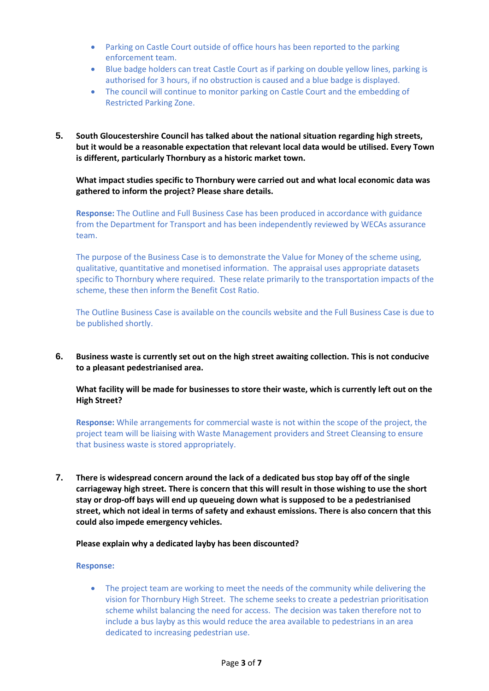- Parking on Castle Court outside of office hours has been reported to the parking enforcement team.
- Blue badge holders can treat Castle Court as if parking on double yellow lines, parking is authorised for 3 hours, if no obstruction is caused and a blue badge is displayed.
- The council will continue to monitor parking on Castle Court and the embedding of Restricted Parking Zone.
- **5. South Gloucestershire Council has talked about the national situation regarding high streets, but it would be a reasonable expectation that relevant local data would be utilised. Every Town is different, particularly Thornbury as a historic market town.**

**What impact studies specific to Thornbury were carried out and what local economic data was gathered to inform the project? Please share details.**

**Response:** The Outline and Full Business Case has been produced in accordance with guidance from the Department for Transport and has been independently reviewed by WECAs assurance team.

The purpose of the Business Case is to demonstrate the Value for Money of the scheme using, qualitative, quantitative and monetised information. The appraisal uses appropriate datasets specific to Thornbury where required. These relate primarily to the transportation impacts of the scheme, these then inform the Benefit Cost Ratio.

The Outline Business Case is available on the councils website and the Full Business Case is due to be published shortly.

**6. Business waste is currently set out on the high street awaiting collection. This is not conducive to a pleasant pedestrianised area.**

**What facility will be made for businesses to store their waste, which is currently left out on the High Street?**

**Response:** While arrangements for commercial waste is not within the scope of the project, the project team will be liaising with Waste Management providers and Street Cleansing to ensure that business waste is stored appropriately.

**7. There is widespread concern around the lack of a dedicated bus stop bay off of the single carriageway high street. There is concern that this will result in those wishing to use the short stay or drop-off bays will end up queueing down what is supposed to be a pedestrianised street, which not ideal in terms of safety and exhaust emissions. There is also concern that this could also impede emergency vehicles.**

#### **Please explain why a dedicated layby has been discounted?**

#### **Response:**

The project team are working to meet the needs of the community while delivering the vision for Thornbury High Street. The scheme seeks to create a pedestrian prioritisation scheme whilst balancing the need for access. The decision was taken therefore not to include a bus layby as this would reduce the area available to pedestrians in an area dedicated to increasing pedestrian use.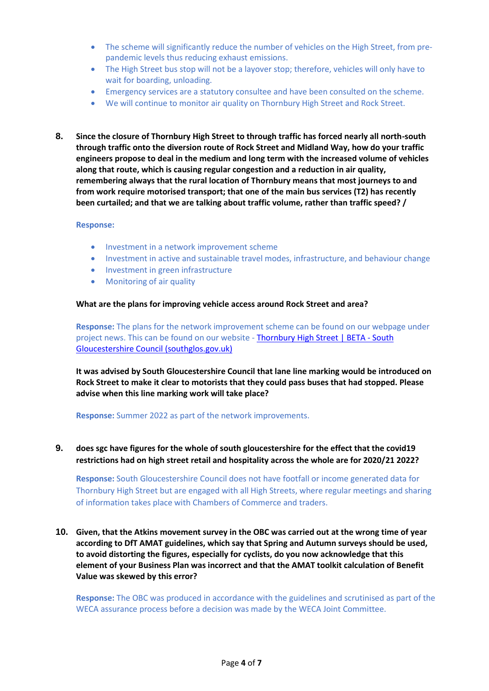- The scheme will significantly reduce the number of vehicles on the High Street, from prepandemic levels thus reducing exhaust emissions.
- The High Street bus stop will not be a layover stop; therefore, vehicles will only have to wait for boarding, unloading.
- Emergency services are a statutory consultee and have been consulted on the scheme.
- We will continue to monitor air quality on Thornbury High Street and Rock Street.
- **8. Since the closure of Thornbury High Street to through traffic has forced nearly all north-south through traffic onto the diversion route of Rock Street and Midland Way, how do your traffic engineers propose to deal in the medium and long term with the increased volume of vehicles along that route, which is causing regular congestion and a reduction in air quality, remembering always that the rural location of Thornbury means that most journeys to and from work require motorised transport; that one of the main bus services (T2) has recently been curtailed; and that we are talking about traffic volume, rather than traffic speed? /**

#### **Response:**

- Investment in a network improvement scheme
- Investment in active and sustainable travel modes, infrastructure, and behaviour change
- Investment in green infrastructure
- Monitoring of air quality

#### **What are the plans for improving vehicle access around Rock Street and area?**

**Response:** The plans for the network improvement scheme can be found on our webpage under project news. This can be found on our website - [Thornbury High Street | BETA -](https://beta.southglos.gov.uk/thornbury-high-street) South [Gloucestershire Council \(southglos.gov.uk\)](https://beta.southglos.gov.uk/thornbury-high-street)

**It was advised by South Gloucestershire Council that lane line marking would be introduced on Rock Street to make it clear to motorists that they could pass buses that had stopped. Please advise when this line marking work will take place?**

**Response:** Summer 2022 as part of the network improvements.

**9. does sgc have figures for the whole of south gloucestershire for the effect that the covid19 restrictions had on high street retail and hospitality across the whole are for 2020/21 2022?**

**Response:** South Gloucestershire Council does not have footfall or income generated data for Thornbury High Street but are engaged with all High Streets, where regular meetings and sharing of information takes place with Chambers of Commerce and traders.

**10. Given, that the Atkins movement survey in the OBC was carried out at the wrong time of year according to DfT AMAT guidelines, which say that Spring and Autumn surveys should be used, to avoid distorting the figures, especially for cyclists, do you now acknowledge that this element of your Business Plan was incorrect and that the AMAT toolkit calculation of Benefit Value was skewed by this error?**

**Response:** The OBC was produced in accordance with the guidelines and scrutinised as part of the WECA assurance process before a decision was made by the WECA Joint Committee.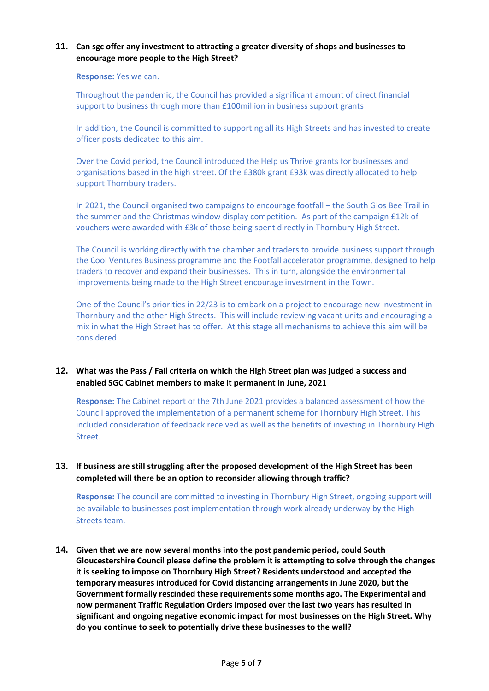## **11. Can sgc offer any investment to attracting a greater diversity of shops and businesses to encourage more people to the High Street?**

#### **Response:** Yes we can.

Throughout the pandemic, the Council has provided a significant amount of direct financial support to business through more than £100million in business support grants

In addition, the Council is committed to supporting all its High Streets and has invested to create officer posts dedicated to this aim.

Over the Covid period, the Council introduced the Help us Thrive grants for businesses and organisations based in the high street. Of the £380k grant £93k was directly allocated to help support Thornbury traders.

In 2021, the Council organised two campaigns to encourage footfall – the South Glos Bee Trail in the summer and the Christmas window display competition. As part of the campaign £12k of vouchers were awarded with £3k of those being spent directly in Thornbury High Street.

The Council is working directly with the chamber and traders to provide business support through the Cool Ventures Business programme and the Footfall accelerator programme, designed to help traders to recover and expand their businesses. This in turn, alongside the environmental improvements being made to the High Street encourage investment in the Town.

One of the Council's priorities in 22/23 is to embark on a project to encourage new investment in Thornbury and the other High Streets. This will include reviewing vacant units and encouraging a mix in what the High Street has to offer. At this stage all mechanisms to achieve this aim will be considered.

## **12. What was the Pass / Fail criteria on which the High Street plan was judged a success and enabled SGC Cabinet members to make it permanent in June, 2021**

**Response:** The Cabinet report of the 7th June 2021 provides a balanced assessment of how the Council approved the implementation of a permanent scheme for Thornbury High Street. This included consideration of feedback received as well as the benefits of investing in Thornbury High Street.

## **13. If business are still struggling after the proposed development of the High Street has been completed will there be an option to reconsider allowing through traffic?**

**Response:** The council are committed to investing in Thornbury High Street, ongoing support will be available to businesses post implementation through work already underway by the High Streets team.

**14. Given that we are now several months into the post pandemic period, could South Gloucestershire Council please define the problem it is attempting to solve through the changes it is seeking to impose on Thornbury High Street? Residents understood and accepted the temporary measures introduced for Covid distancing arrangements in June 2020, but the Government formally rescinded these requirements some months ago. The Experimental and now permanent Traffic Regulation Orders imposed over the last two years has resulted in significant and ongoing negative economic impact for most businesses on the High Street. Why do you continue to seek to potentially drive these businesses to the wall?**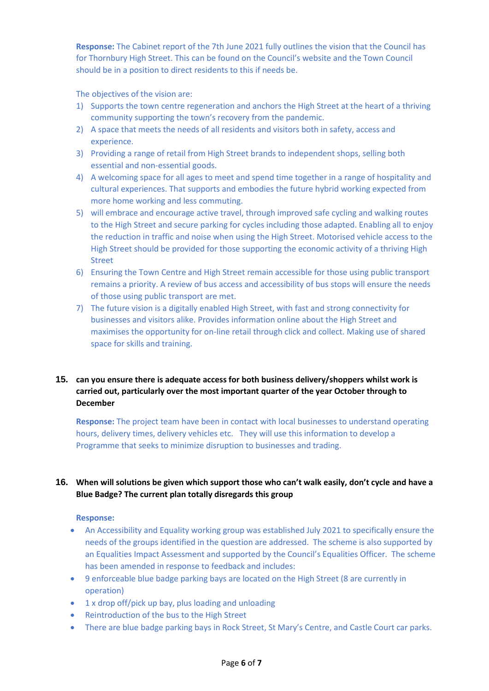**Response:** The Cabinet report of the 7th June 2021 fully outlines the vision that the Council has for Thornbury High Street. This can be found on the Council's website and the Town Council should be in a position to direct residents to this if needs be.

The objectives of the vision are:

- 1) Supports the town centre regeneration and anchors the High Street at the heart of a thriving community supporting the town's recovery from the pandemic.
- 2) A space that meets the needs of all residents and visitors both in safety, access and experience.
- 3) Providing a range of retail from High Street brands to independent shops, selling both essential and non-essential goods.
- 4) A welcoming space for all ages to meet and spend time together in a range of hospitality and cultural experiences. That supports and embodies the future hybrid working expected from more home working and less commuting.
- 5) will embrace and encourage active travel, through improved safe cycling and walking routes to the High Street and secure parking for cycles including those adapted. Enabling all to enjoy the reduction in traffic and noise when using the High Street. Motorised vehicle access to the High Street should be provided for those supporting the economic activity of a thriving High Street
- 6) Ensuring the Town Centre and High Street remain accessible for those using public transport remains a priority. A review of bus access and accessibility of bus stops will ensure the needs of those using public transport are met.
- 7) The future vision is a digitally enabled High Street, with fast and strong connectivity for businesses and visitors alike. Provides information online about the High Street and maximises the opportunity for on-line retail through click and collect. Making use of shared space for skills and training.

## **15. can you ensure there is adequate access for both business delivery/shoppers whilst work is carried out, particularly over the most important quarter of the year October through to December**

**Response:** The project team have been in contact with local businesses to understand operating hours, delivery times, delivery vehicles etc. They will use this information to develop a Programme that seeks to minimize disruption to businesses and trading.

## **16. When will solutions be given which support those who can't walk easily, don't cycle and have a Blue Badge? The current plan totally disregards this group**

#### **Response:**

- An Accessibility and Equality working group was established July 2021 to specifically ensure the needs of the groups identified in the question are addressed. The scheme is also supported by an Equalities Impact Assessment and supported by the Council's Equalities Officer. The scheme has been amended in response to feedback and includes:
- 9 enforceable blue badge parking bays are located on the High Street (8 are currently in operation)
- 1 x drop off/pick up bay, plus loading and unloading
- Reintroduction of the bus to the High Street
- There are blue badge parking bays in Rock Street, St Mary's Centre, and Castle Court car parks.